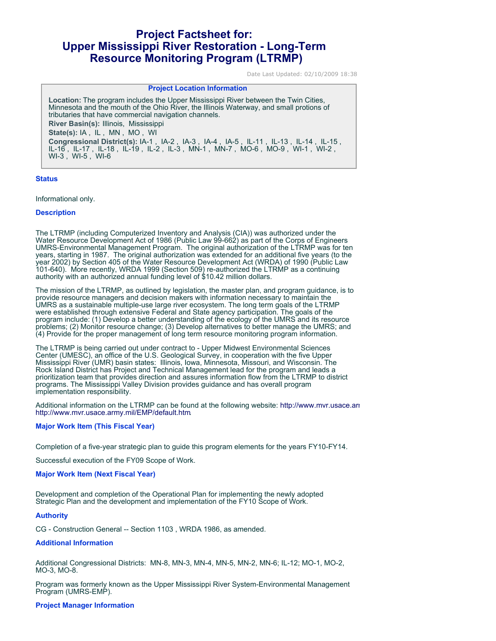# **Project Factsheet for: Upper Mississippi River Restoration - Long-Term Resource Monitoring Program (LTRMP)**

Date Last Updated: 02/10/2009 18:38

## **Project Location Information**

**Location:** The program includes the Upper Mississippi River between the Twin Cities, Minnesota and the mouth of the Ohio River, the Illinois Waterway, and small protions of tributaries that have commercial navigation channels. **River Basin(s):** Illinois, Mississippi **State(s):** IA , IL , MN , MO , WI **Congressional District(s):** IA-1 , IA-2 , IA-3 , IA-4 , IA-5 , IL-11 , IL-13 , IL-14 , IL-15 , IL-16 , IL-17 , IL-18 , IL-19 , IL-2 , IL-3 , MN-1 , MN-7 , MO-6 , MO-9 , WI-1 , WI-2 , WI-3 , WI-5 , WI-6

#### **Status**

Informational only.

#### **Description**

The LTRMP (including Computerized Inventory and Analysis (CIA)) was authorized under the Water Resource Development Act of 1986 (Public Law 99-662) as part of the Corps of Engineers UMRS-Environmental Management Program. The original authorization of the LTRMP was for ten years, starting in 1987. The original authorization was extended for an additional five years (to the year 2002) by Section 405 of the Water Resource Development Act (WRDA) of 1990 (Public Law 101-640). More recently, WRDA 1999 (Section 509) re-authorized the LTRMP as a continuing authority with an authorized annual funding level of \$10.42 million dollars.

The mission of the LTRMP, as outlined by legislation, the master plan, and program guidance, is to provide resource managers and decision makers with information necessary to maintain the UMRS as a sustainable multiple-use large river ecosystem. The long term goals of the LTRMP were established through extensive Federal and State agency participation. The goals of the program include: (1) Develop a better understanding of the ecology of the UMRS and its resource problems; (2) Monitor resource change; (3) Develop alternatives to better manage the UMRS; and (4) Provide for the proper management of long term resource monitoring program information.

The LTRMP is being carried out under contract to - Upper Midwest Environmental Sciences Center (UMESC), an office of the U.S. Geological Survey, in cooperation with the five Upper Mississippi River (UMR) basin states: Illinois, Iowa, Minnesota, Missouri, and Wisconsin. The Rock Island District has Project and Technical Management lead for the program and leads a prioritization team that provides direction and assures information flow from the LTRMP to district programs. The Mississippi Valley Division provides guidance and has overall program implementation responsibility.

Additional information on t[h](http://www.mvr.usace.army.mil/EMP/default.htm)e LTRMP can be found at the following website: http://www.mvr.usace.ari <http://www.mvr.usace.army.mil/EMP/default.htm>.

#### **Major Work Item (This Fiscal Year)**

Completion of a five-year strategic plan to guide this program elements for the years FY10-FY14.

Successful execution of the FY09 Scope of Work.

### **Major Work Item (Next Fiscal Year)**

Development and completion of the Operational Plan for implementing the newly adopted Strategic Plan and the development and implementation of the FY10 Scope of Work.

# **Authority**

CG - Construction General -- Section 1103 , WRDA 1986, as amended.

#### **Additional Information**

Additional Congressional Districts: MN-8, MN-3, MN-4, MN-5, MN-2, MN-6; IL-12; MO-1, MO-2, MO-3, MO-8.

Program was formerly known as the Upper Mississippi River System-Environmental Management Program (UMRS-EMP).

# **Project Manager Information**